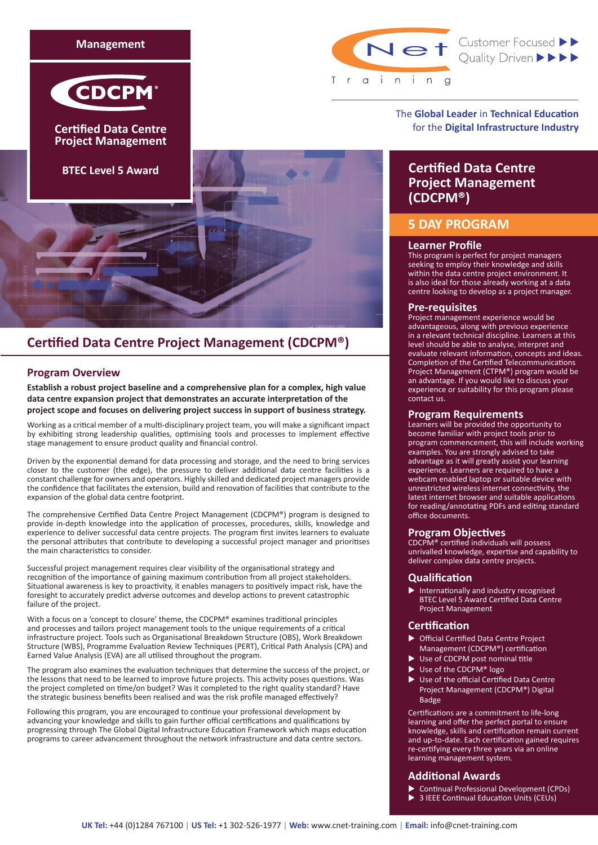



**Certified Data Centre Project Management**





Net Customer Focused >>

The **Global Leader** in **Technical Education** for the **Digital Infrastructure Industry**

# **Certified Data Centre Project Management (CDCPM®)**

# **5 DAY PROGRAM**

### **Learner Profile**

This program is perfect for project managers seeking to employ their knowledge and skills within the data centre project environment. It is also ideal for those already working at a data centre looking to develop as a project manager.

## **Pre-requisites**

Project management experience would be advantageous, along with previous experience in a relevant technical discipline. Learners at this level should be able to analyse, interpret and evaluate relevant information, concepts and ideas. Completion of the Certified Telecommunications Project Management (CTPM®) program would be an advantage. If you would like to discuss your experience or suitability for this program please contact us.

### **Program Requirements**

Learners will be provided the opportunity to become familiar with project tools prior to program commencement, this will include working examples. You are strongly advised to take advantage as it will greatly assist your learning experience. Learners are required to have a webcam enabled laptop or suitable device with unrestricted wireless internet connectivity, the latest internet browser and suitable applications for reading/annotating PDFs and editing standard office documents.

### **Program Objectives**

CDCPM® certified individuals will possess unrivalled knowledge, expertise and capability to deliver complex data centre projects.

### **Qualification**

Internationally and industry recognised BTEC Level 5 Award Certified Data Centre Project Management

# **Certification**

- **Defficial Certified Data Centre Project** Management (CDCPM®) certification
- Use of CDCPM post nominal title
- Use of the CDCPM® logo
- u Use of the official Certified Data Centre Project Management (CDCPM®) Digital Badge

Certifications are a commitment to life-long learning and offer the perfect portal to ensure knowledge, skills and certification remain current and up-to-date. Each certification gained requires re-certifying every three years via an online learning management system.

### **Additional Awards**

- Continual Professional Development (CPDs)
- 3 IEEE Continual Education Units (CEUs)
- 

# **Certified Data Centre Project Management (CDCPM®)**

# **Program Overview**

**Establish a robust project baseline and a comprehensive plan for a complex, high value data centre expansion project that demonstrates an accurate interpretation of the project scope and focuses on delivering project success in support of business strategy.**

Working as a critical member of a multi-disciplinary project team, you will make a significant impact by exhibiting strong leadership qualities, optimising tools and processes to implement effective stage management to ensure product quality and financial control.

Driven by the exponential demand for data processing and storage, and the need to bring services closer to the customer (the edge), the pressure to deliver additional data centre facilities is a constant challenge for owners and operators. Highly skilled and dedicated project managers provide the confidence that facilitates the extension, build and renovation of facilities that contribute to the expansion of the global data centre footprint.

The comprehensive Certified Data Centre Project Management (CDCPM®) program is designed to provide in-depth knowledge into the application of processes, procedures, skills, knowledge and experience to deliver successful data centre projects. The program first invites learners to evaluate the personal attributes that contribute to developing a successful project manager and prioritises the main characteristics to consider.

Successful project management requires clear visibility of the organisational strategy and recognition of the importance of gaining maximum contribution from all project stakeholders. Situational awareness is key to proactivity, it enables managers to positively impact risk, have the foresight to accurately predict adverse outcomes and develop actions to prevent catastrophic failure of the project.

With a focus on a 'concept to closure' theme, the CDCPM® examines traditional principles and processes and tailors project management tools to the unique requirements of a critical infrastructure project. Tools such as Organisational Breakdown Structure (OBS), Work Breakdown Structure (WBS), Programme Evaluation Review Techniques (PERT), Critical Path Analysis (CPA) and Earned Value Analysis (EVA) are all utilised throughout the program.

The program also examines the evaluation techniques that determine the success of the project, or the lessons that need to be learned to improve future projects. This activity poses questions. Was the project completed on time/on budget? Was it completed to the right quality standard? Have the strategic business benefits been realised and was the risk profile managed effectively?

Following this program, you are encouraged to continue your professional development by advancing your knowledge and skills to gain further official certifications and qualifications by progressing through The Global Digital Infrastructure Education Framework which maps education programs to career advancement throughout the network infrastructure and data centre sectors.